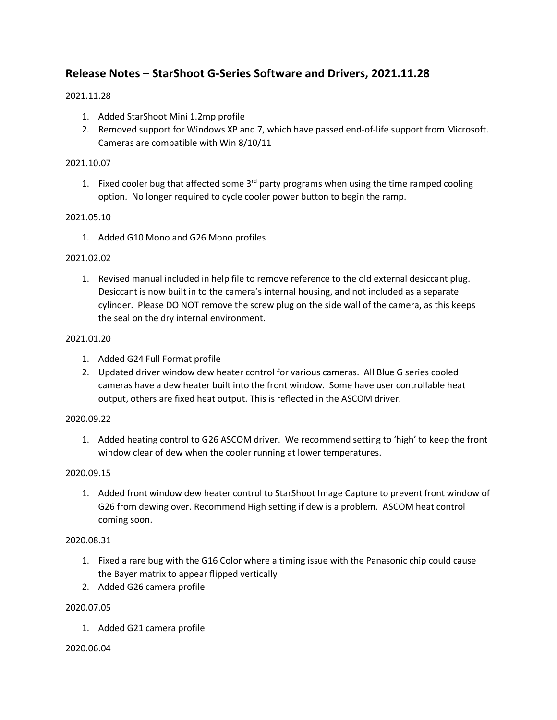# **Release Notes – StarShoot G-Series Software and Drivers, 2021.11.28**

# 2021.11.28

- 1. Added StarShoot Mini 1.2mp profile
- 2. Removed support for Windows XP and 7, which have passed end-of-life support from Microsoft. Cameras are compatible with Win 8/10/11

## 2021.10.07

1. Fixed cooler bug that affected some  $3<sup>rd</sup>$  party programs when using the time ramped cooling option. No longer required to cycle cooler power button to begin the ramp.

## 2021.05.10

1. Added G10 Mono and G26 Mono profiles

#### 2021.02.02

1. Revised manual included in help file to remove reference to the old external desiccant plug. Desiccant is now built in to the camera's internal housing, and not included as a separate cylinder. Please DO NOT remove the screw plug on the side wall of the camera, as this keeps the seal on the dry internal environment.

#### 2021.01.20

- 1. Added G24 Full Format profile
- 2. Updated driver window dew heater control for various cameras. All Blue G series cooled cameras have a dew heater built into the front window. Some have user controllable heat output, others are fixed heat output. This is reflected in the ASCOM driver.

#### 2020.09.22

1. Added heating control to G26 ASCOM driver. We recommend setting to 'high' to keep the front window clear of dew when the cooler running at lower temperatures.

## 2020.09.15

1. Added front window dew heater control to StarShoot Image Capture to prevent front window of G26 from dewing over. Recommend High setting if dew is a problem. ASCOM heat control coming soon.

## 2020.08.31

- 1. Fixed a rare bug with the G16 Color where a timing issue with the Panasonic chip could cause the Bayer matrix to appear flipped vertically
- 2. Added G26 camera profile

## 2020.07.05

1. Added G21 camera profile

#### 2020.06.04